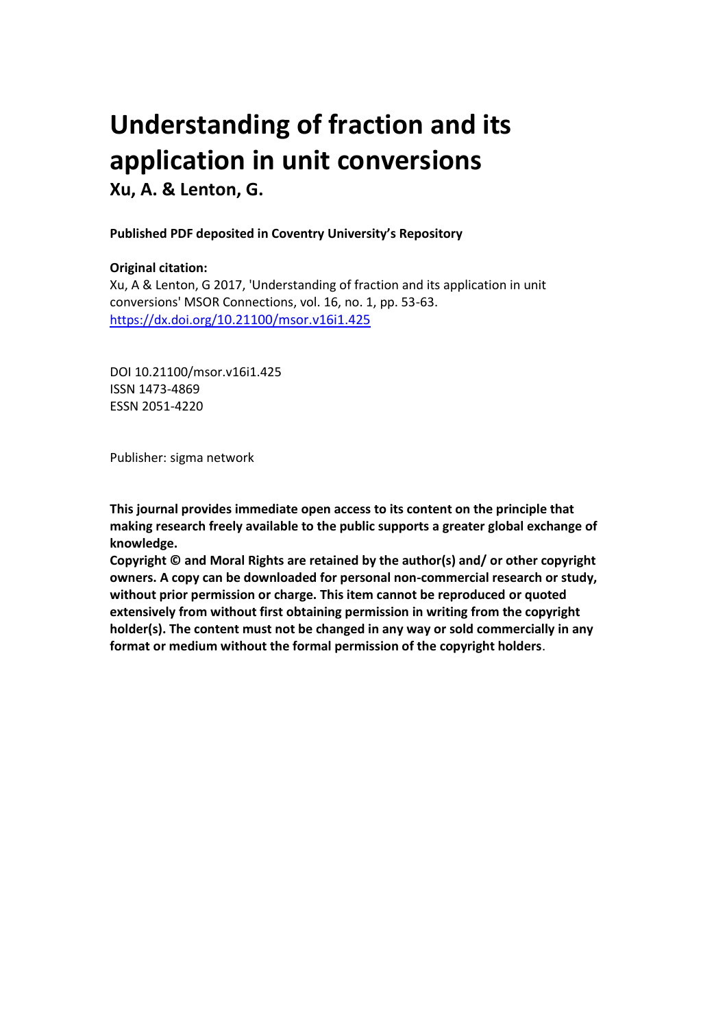# **Understanding of fraction and its application in unit conversions Xu, A. & Lenton, G.**

#### **Published PDF deposited in Coventry University's Repository**

#### **Original citation:**

Xu, A & Lenton, G 2017, 'Understanding of fraction and its application in unit conversions' MSOR Connections, vol. 16, no. 1, pp. 53-63. https://dx.doi.org/[10.21100/msor.v16i1.425](https://doi.org/10.21100/msor.v16i1.425)

DOI 10.21100/msor.v16i1.425 ISSN 1473-4869 ESSN 2051-4220

Publisher: sigma network

**This journal provides immediate open access to its content on the principle that making research freely available to the public supports a greater global exchange of knowledge.**

**Copyright © and Moral Rights are retained by the author(s) and/ or other copyright owners. A copy can be downloaded for personal non-commercial research or study, without prior permission or charge. This item cannot be reproduced or quoted extensively from without first obtaining permission in writing from the copyright holder(s). The content must not be changed in any way or sold commercially in any format or medium without the formal permission of the copyright holders**.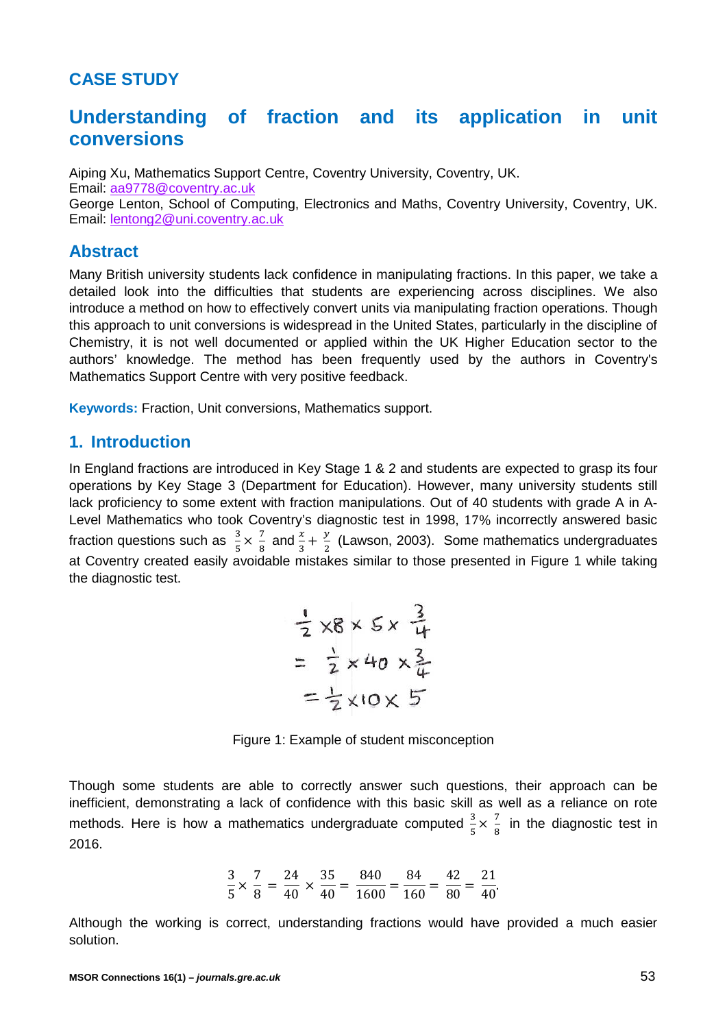# **CASE STUDY**

# **Understanding of fraction and its application in unit conversions**

Aiping Xu, Mathematics Support Centre, Coventry University, Coventry, UK. Email: [aa9778@coventry.ac.uk](mailto:aa9778@coventry.ac.uk) George Lenton, School of Computing, Electronics and Maths, Coventry University, Coventry, UK. Email: lentong2@uni.coventry.ac.uk

### **Abstract**

Many British university students lack confidence in manipulating fractions. In this paper, we take a detailed look into the difficulties that students are experiencing across disciplines. We also introduce a method on how to effectively convert units via manipulating fraction operations. Though this approach to unit conversions is widespread in the United States, particularly in the discipline of Chemistry, it is not well documented or applied within the UK Higher Education sector to the authors' knowledge. The method has been frequently used by the authors in Coventry's Mathematics Support Centre with very positive feedback.

**Keywords:** Fraction, Unit conversions, Mathematics support.

## **1. Introduction**

In England fractions are introduced in Key Stage 1 & 2 and students are expected to grasp its four operations by Key Stage 3 (Department for Education). However, many university students still lack proficiency to some extent with fraction manipulations. Out of 40 students with grade A in A-Level Mathematics who took Coventry's diagnostic test in 1998, 17% incorrectly answered basic fraction questions such as  $\frac{3}{5} \times \frac{7}{8}$  $\frac{7}{8}$  and  $\frac{x}{3} + \frac{y}{2}$  (Lawson, 2003). Some mathematics undergraduates at Coventry created easily avoidable mistakes similar to those presented in Figure 1 while taking the diagnostic test.

$$
\frac{1}{2} \times 8 \times 5 \times \frac{3}{4}
$$
  
=  $\frac{1}{2} \times 40 \times \frac{3}{4}$   
=  $\frac{1}{2} \times 10 \times 5$ 

Figure 1: Example of student misconception

Though some students are able to correctly answer such questions, their approach can be inefficient, demonstrating a lack of confidence with this basic skill as well as a reliance on rote methods. Here is how a mathematics undergraduate computed  $\frac{3}{5} \times \frac{7}{8}$  $\frac{1}{8}$  in the diagnostic test in 2016.

$$
\frac{3}{5} \times \frac{7}{8} = \frac{24}{40} \times \frac{35}{40} = \frac{840}{1600} = \frac{84}{160} = \frac{42}{80} = \frac{21}{40}.
$$

Although the working is correct, understanding fractions would have provided a much easier solution.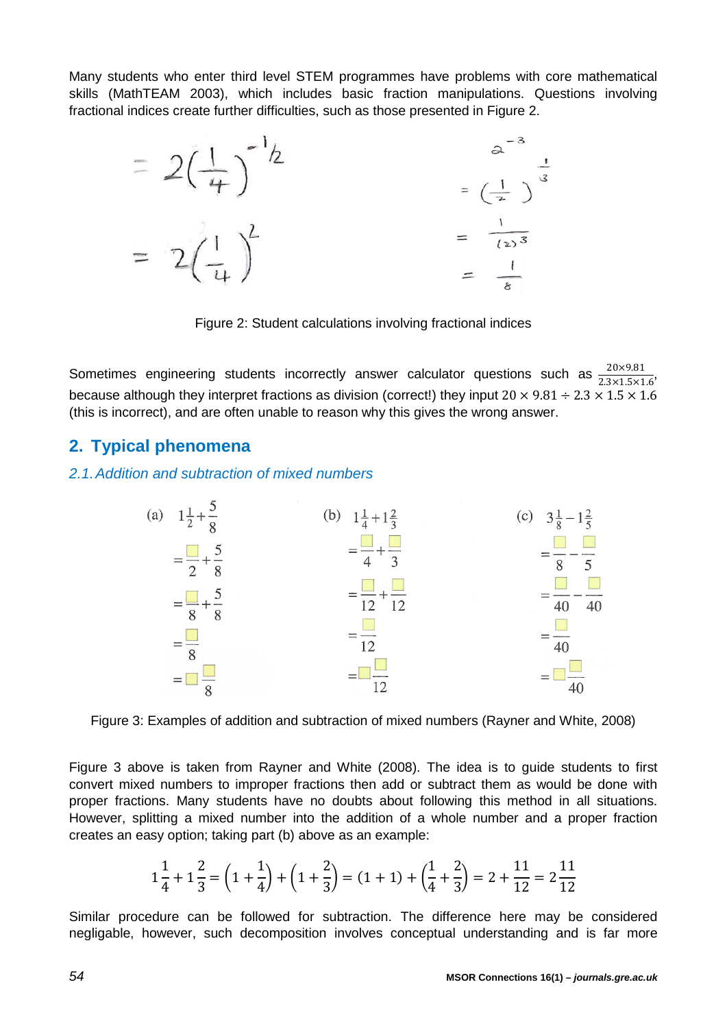Many students who enter third level STEM programmes have problems with core mathematical skills (MathTEAM 2003), which includes basic fraction manipulations. Questions involving fractional indices create further difficulties, such as those presented in Figure 2.



Figure 2: Student calculations involving fractional indices

Sometimes engineering students incorrectly answer calculator questions such as  $\frac{20\times9.81}{2.3\times1.5\times1.6}$ , because although they interpret fractions as division (correct!) they input  $20 \times 9.81 \div 2.3 \times 1.5 \times 1.6$ (this is incorrect), and are often unable to reason why this gives the wrong answer.

# **2. Typical phenomena**

### *2.1.Addition and subtraction of mixed numbers*



Figure 3: Examples of addition and subtraction of mixed numbers (Rayner and White, 2008)

Figure 3 above is taken from Rayner and White (2008). The idea is to guide students to first convert mixed numbers to improper fractions then add or subtract them as would be done with proper fractions. Many students have no doubts about following this method in all situations. However, splitting a mixed number into the addition of a whole number and a proper fraction creates an easy option; taking part (b) above as an example:

$$
1\frac{1}{4} + 1\frac{2}{3} = \left(1 + \frac{1}{4}\right) + \left(1 + \frac{2}{3}\right) = (1 + 1) + \left(\frac{1}{4} + \frac{2}{3}\right) = 2 + \frac{11}{12} = 2\frac{11}{12}
$$

Similar procedure can be followed for subtraction. The difference here may be considered negligable, however, such decomposition involves conceptual understanding and is far more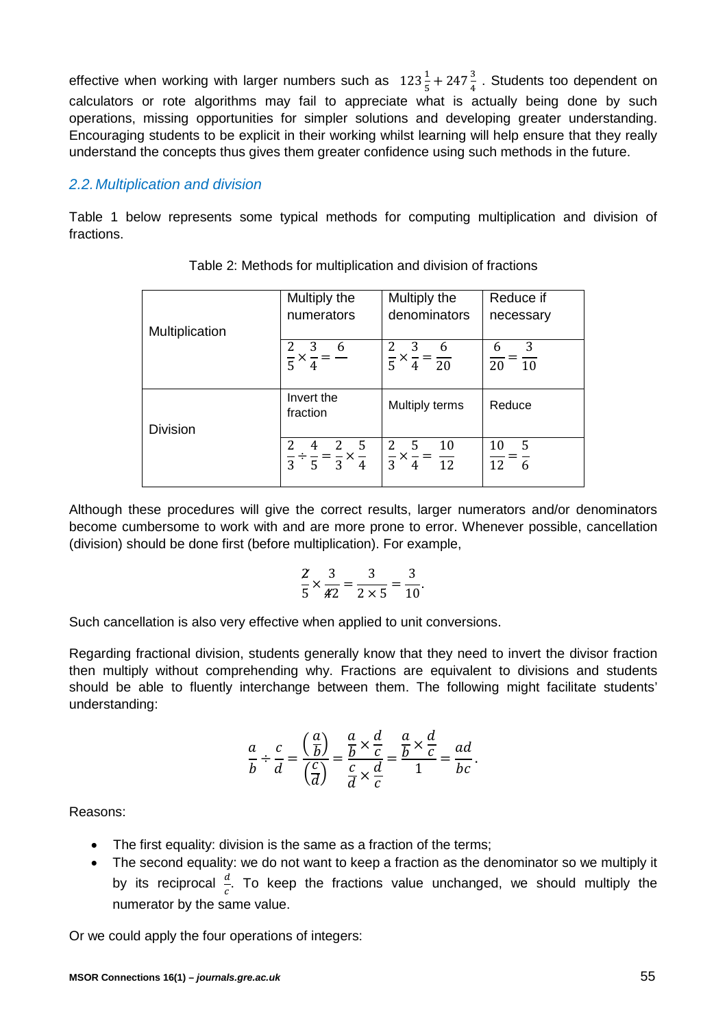effective when working with larger numbers such as  $123\frac{1}{5} + 247\frac{3}{4}$ . Students too dependent on calculators or rote algorithms may fail to appreciate what is actually being done by such operations, missing opportunities for simpler solutions and developing greater understanding. Encouraging students to be explicit in their working whilst learning will help ensure that they really understand the concepts thus gives them greater confidence using such methods in the future.

### *2.2.Multiplication and division*

Table 1 below represents some typical methods for computing multiplication and division of fractions.

|                 | Multiply the                                                    | Multiply the                                    | Reduce if                     |
|-----------------|-----------------------------------------------------------------|-------------------------------------------------|-------------------------------|
|                 | numerators                                                      | denominators                                    | necessary                     |
| Multiplication  |                                                                 |                                                 |                               |
|                 | 3<br>6                                                          | 3<br>- 6                                        | 3<br>6                        |
|                 | $\overline{5}$                                                  | $\frac{1}{5} \times \frac{1}{4} = \frac{1}{20}$ | $\frac{1}{20} = \frac{1}{10}$ |
|                 |                                                                 |                                                 |                               |
|                 | Invert the<br>fraction                                          | Multiply terms                                  | Reduce                        |
| <b>Division</b> |                                                                 |                                                 |                               |
|                 | 4 2 5                                                           | 2 <sub>5</sub><br>10                            | - 5<br>10                     |
|                 | $\frac{1}{3} \div \frac{1}{5} = \frac{1}{3} \times \frac{1}{4}$ | $\frac{1}{3} \times \frac{1}{4} = \frac{1}{12}$ | $\frac{1}{12} = \frac{1}{6}$  |
|                 |                                                                 |                                                 |                               |

Although these procedures will give the correct results, larger numerators and/or denominators become cumbersome to work with and are more prone to error. Whenever possible, cancellation (division) should be done first (before multiplication). For example,

$$
\frac{2}{5} \times \frac{3}{42} = \frac{3}{2 \times 5} = \frac{3}{10}.
$$

Such cancellation is also very effective when applied to unit conversions.

Regarding fractional division, students generally know that they need to invert the divisor fraction then multiply without comprehending why. Fractions are equivalent to divisions and students should be able to fluently interchange between them. The following might facilitate students' understanding:

$$
\frac{a}{b} \div \frac{c}{d} = \frac{\left(\frac{a}{b}\right)}{\left(\frac{c}{d}\right)} = \frac{\frac{a}{b} \times \frac{d}{c}}{\frac{c}{d} \times \frac{d}{c}} = \frac{\frac{a}{b} \times \frac{d}{c}}{1} = \frac{ad}{bc}.
$$

Reasons:

- The first equality: division is the same as a fraction of the terms;
- The second equality: we do not want to keep a fraction as the denominator so we multiply it by its reciprocal  $\frac{d}{c}$ . To keep the fractions value unchanged, we should multiply the numerator by the same value.

Or we could apply the four operations of integers: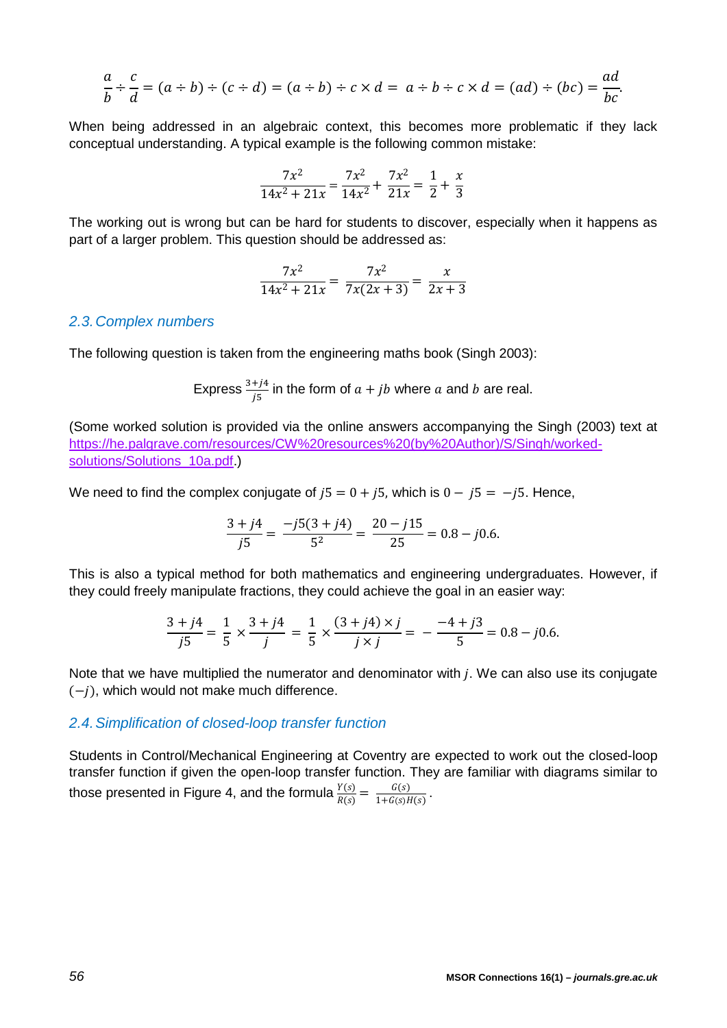$$
\frac{a}{b} \div \frac{c}{d} = (a \div b) \div (c \div d) = (a \div b) \div c \times d = a \div b \div c \times d = (ad) \div (bc) = \frac{ad}{bc}.
$$

When being addressed in an algebraic context, this becomes more problematic if they lack conceptual understanding. A typical example is the following common mistake:

$$
\frac{7x^2}{14x^2 + 21x} = \frac{7x^2}{14x^2} + \frac{7x^2}{21x} = \frac{1}{2} + \frac{x}{3}
$$

The working out is wrong but can be hard for students to discover, especially when it happens as part of a larger problem. This question should be addressed as:

$$
\frac{7x^2}{14x^2 + 21x} = \frac{7x^2}{7x(2x+3)} = \frac{x}{2x+3}
$$

#### *2.3.Complex numbers*

The following question is taken from the engineering maths book (Singh 2003):

Express 
$$
\frac{3+j4}{j5}
$$
 in the form of  $a + jb$  where a and b are real.

(Some worked solution is provided via the online answers accompanying the Singh (2003) text at [https://he.palgrave.com/resources/CW%20resources%20\(by%20Author\)/S/Singh/worked](https://he.palgrave.com/resources/CW%20resources%20(by%20Author)/S/Singh/worked-solutions/Solutions_10a.pdf))[solutions/Solutions\\_10a.pdf.](https://he.palgrave.com/resources/CW%20resources%20(by%20Author)/S/Singh/worked-solutions/Solutions_10a.pdf)))

We need to find the complex conjugate of  $j5 = 0 + j5$ , which is  $0 - j5 = -j5$ . Hence,

$$
\frac{3+j4}{j5} = \frac{-j5(3+j4)}{5^2} = \frac{20-j15}{25} = 0.8 - j0.6.
$$

This is also a typical method for both mathematics and engineering undergraduates. However, if they could freely manipulate fractions, they could achieve the goal in an easier way:

$$
\frac{3+j4}{j5} = \frac{1}{5} \times \frac{3+j4}{j} = \frac{1}{5} \times \frac{(3+j4)\times j}{j\times j} = -\frac{-4+j3}{5} = 0.8 - j0.6.
$$

Note that we have multiplied the numerator and denominator with  $j$ . We can also use its conjugate  $(-i)$ , which would not make much difference.

#### *2.4.Simplification of closed-loop transfer function*

Students in Control/Mechanical Engineering at Coventry are expected to work out the closed-loop transfer function if given the open-loop transfer function. They are familiar with diagrams similar to those presented in Figure 4, and the formula  $\frac{Y(s)}{R(s)} = \frac{G(s)}{1 + G(s)H(s)}$ .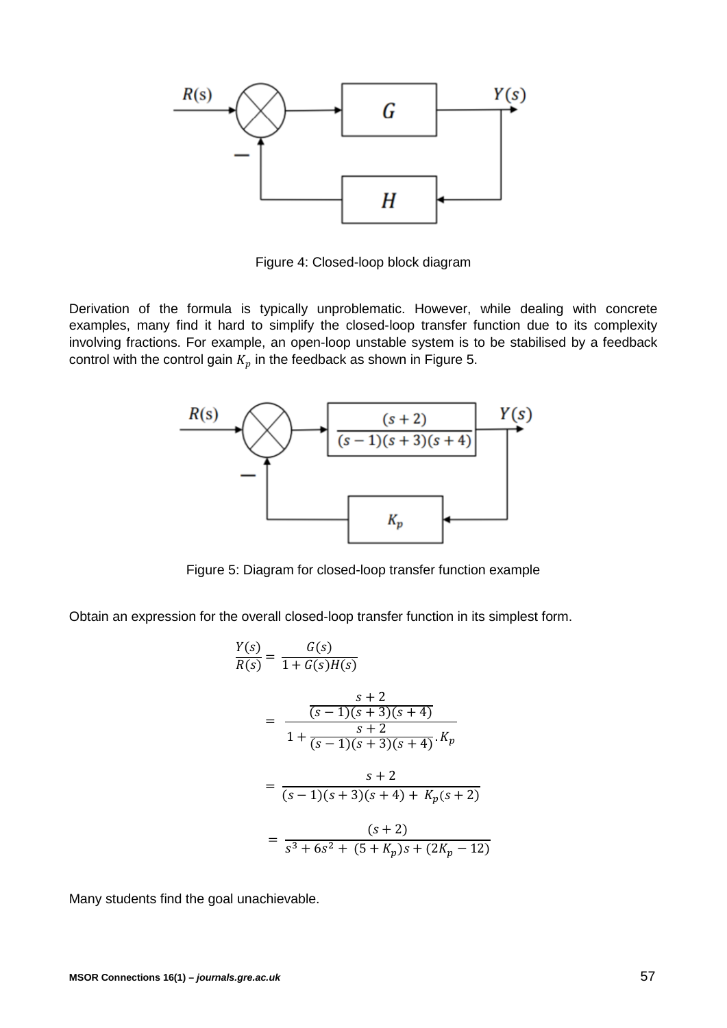

Figure 4: Closed-loop block diagram

Derivation of the formula is typically unproblematic. However, while dealing with concrete examples, many find it hard to simplify the closed-loop transfer function due to its complexity involving fractions. For example, an open-loop unstable system is to be stabilised by a feedback control with the control gain  $K_p$  in the feedback as shown in Figure 5.



Figure 5: Diagram for closed-loop transfer function example

Obtain an expression for the overall closed-loop transfer function in its simplest form.

$$
\frac{Y(s)}{R(s)} = \frac{G(s)}{1 + G(s)H(s)}
$$
\n
$$
= \frac{\frac{s+2}{(s-1)(s+3)(s+4)}}{1 + \frac{s+2}{(s-1)(s+3)(s+4)} \cdot K_p}
$$
\n
$$
= \frac{s+2}{(s-1)(s+3)(s+4) + K_p(s+2)}
$$
\n
$$
= \frac{(s+2)}{s^3 + 6s^2 + (5+K_p)s + (2K_p - 12)}
$$

Many students find the goal unachievable.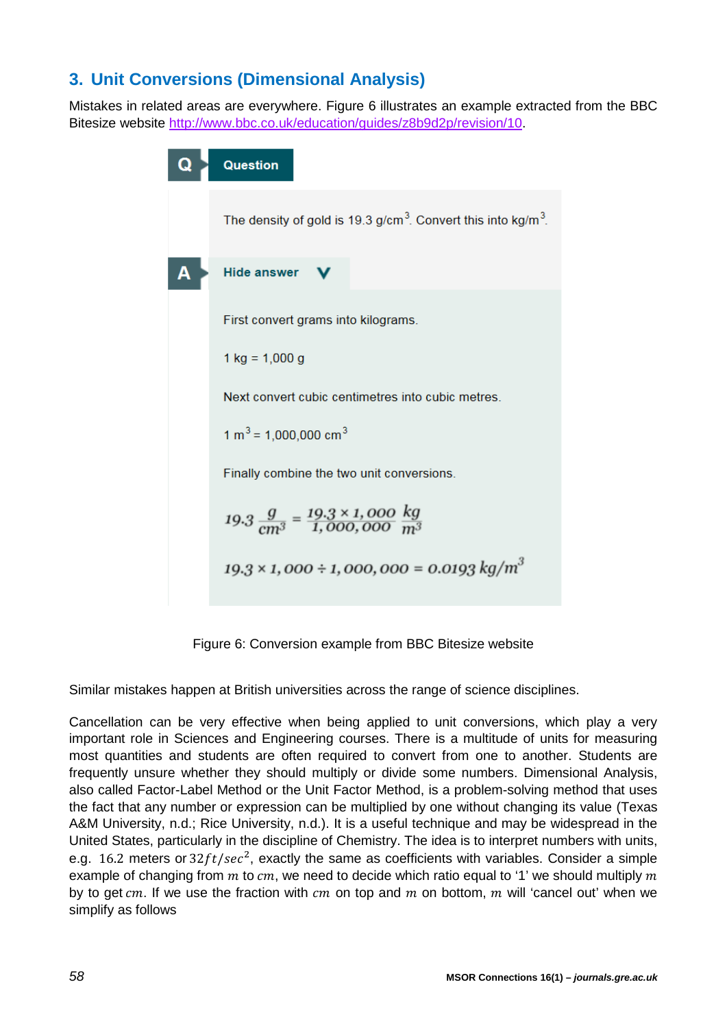# **3. Unit Conversions (Dimensional Analysis)**

Mistakes in related areas are everywhere. Figure 6 illustrates an example extracted from the BBC Bitesize website [http://www.bbc.co.uk/education/guides/z8b9d2p/revision/10.](http://www.bbc.co.uk/education/guides/z8b9d2p/revision/10)

| Question                                                                              |  |  |  |  |
|---------------------------------------------------------------------------------------|--|--|--|--|
| The density of gold is 19.3 g/cm <sup>3</sup> . Convert this into kg/m <sup>3</sup> . |  |  |  |  |
| Hide answer \                                                                         |  |  |  |  |
| First convert grams into kilograms.                                                   |  |  |  |  |
| $1 \text{ kg} = 1,000 \text{ g}$                                                      |  |  |  |  |
| Next convert cubic centimetres into cubic metres                                      |  |  |  |  |
| $1 m3 = 1,000,000 cm3$                                                                |  |  |  |  |
| Finally combine the two unit conversions.                                             |  |  |  |  |
| $19.3 \frac{g}{cm^3} = \frac{19.3 \times 1,000}{1,000,000} \frac{kg}{m^3}$            |  |  |  |  |
| $19.3 \times 1,000 \div 1,000,000 = 0.0193 \text{ kg/m}^3$                            |  |  |  |  |
|                                                                                       |  |  |  |  |

Figure 6: Conversion example from BBC Bitesize website

Similar mistakes happen at British universities across the range of science disciplines.

Cancellation can be very effective when being applied to unit conversions, which play a very important role in Sciences and Engineering courses. There is a multitude of units for measuring most quantities and students are often required to convert from one to another. Students are frequently unsure whether they should multiply or divide some numbers. Dimensional Analysis, also called Factor-Label Method or the Unit Factor Method, is a problem-solving method that uses the fact that any number or expression can be multiplied by one without changing its value (Texas A&M University, n.d.; Rice University, n.d.). It is a useful technique and may be widespread in the United States, particularly in the discipline of Chemistry. The idea is to interpret numbers with units, e.g. 16.2 meters or  $32 ft/sec^2$ , exactly the same as coefficients with variables. Consider a simple example of changing from  $m$  to  $cm$ , we need to decide which ratio equal to '1' we should multiply  $m$ by to get  $cm$ . If we use the fraction with  $cm$  on top and  $m$  on bottom,  $m$  will 'cancel out' when we simplify as follows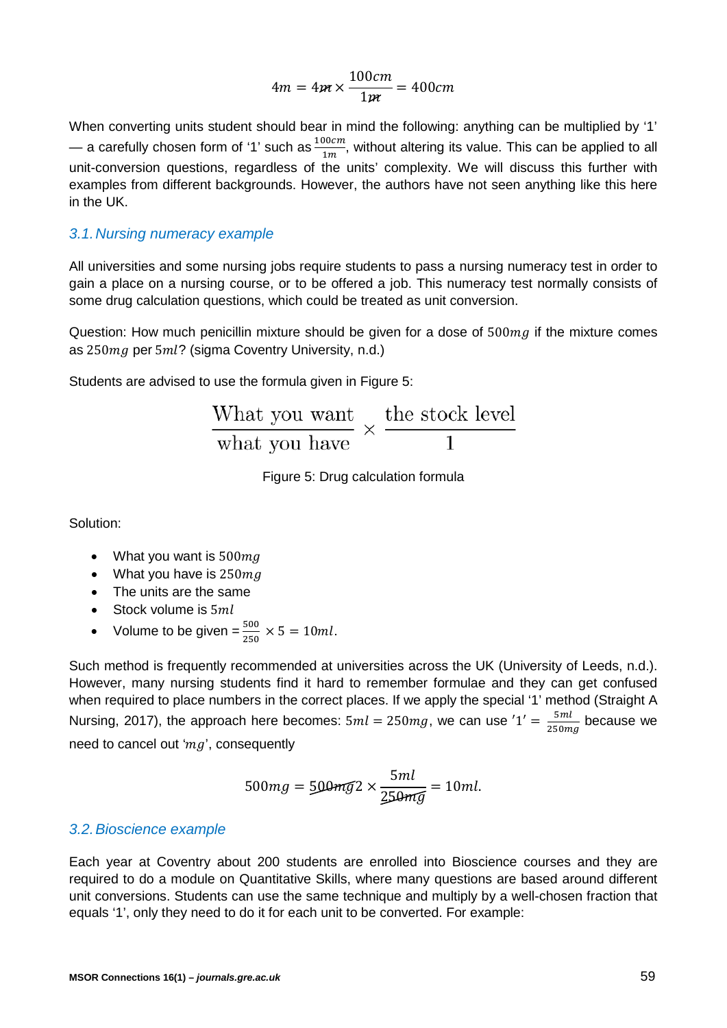$$
4m = 4m \times \frac{100cm}{1m} = 400cm
$$

When converting units student should bear in mind the following: anything can be multiplied by '1' — a carefully chosen form of '1' such as  $\frac{100cm}{1m}$ , without altering its value. This can be applied to all unit-conversion questions, regardless of the units' complexity. We will discuss this further with examples from different backgrounds. However, the authors have not seen anything like this here in the UK.

#### *3.1.Nursing numeracy example*

All universities and some nursing jobs require students to pass a nursing numeracy test in order to gain a place on a nursing course, or to be offered a job. This numeracy test normally consists of some drug calculation questions, which could be treated as unit conversion.

Question: How much penicillin mixture should be given for a dose of  $500mg$  if the mixture comes as  $250mg$  per  $5ml$ ? (sigma Coventry University, n.d.)

Students are advised to use the formula given in Figure 5:

| What you want the stock level<br>$\frac{v}{\sqrt{2}}$ x $\frac{v}{\sqrt{2}}$ |  |  |
|------------------------------------------------------------------------------|--|--|
| what you have                                                                |  |  |

Figure 5: Drug calculation formula

Solution:

- What you want is  $500$  ma
- What you have is  $250$  mg
- The units are the same
- Stock volume is  $5ml$
- Volume to be given  $=\frac{500}{250} \times 5 = 10ml$ .

Such method is frequently recommended at universities across the UK (University of Leeds, n.d.). However, many nursing students find it hard to remember formulae and they can get confused when required to place numbers in the correct places. If we apply the special '1' method (Straight A Nursing, 2017), the approach here becomes:  $5ml = 250mg$ , we can use  $1' = \frac{5ml}{250mg}$  because we need to cancel out ' $mg$ ', consequently

$$
500mg = 500mg^2 \times \frac{5ml}{250mg} = 10ml.
$$

#### *3.2.Bioscience example*

Each year at Coventry about 200 students are enrolled into Bioscience courses and they are required to do a module on Quantitative Skills, where many questions are based around different unit conversions. Students can use the same technique and multiply by a well-chosen fraction that equals '1', only they need to do it for each unit to be converted. For example: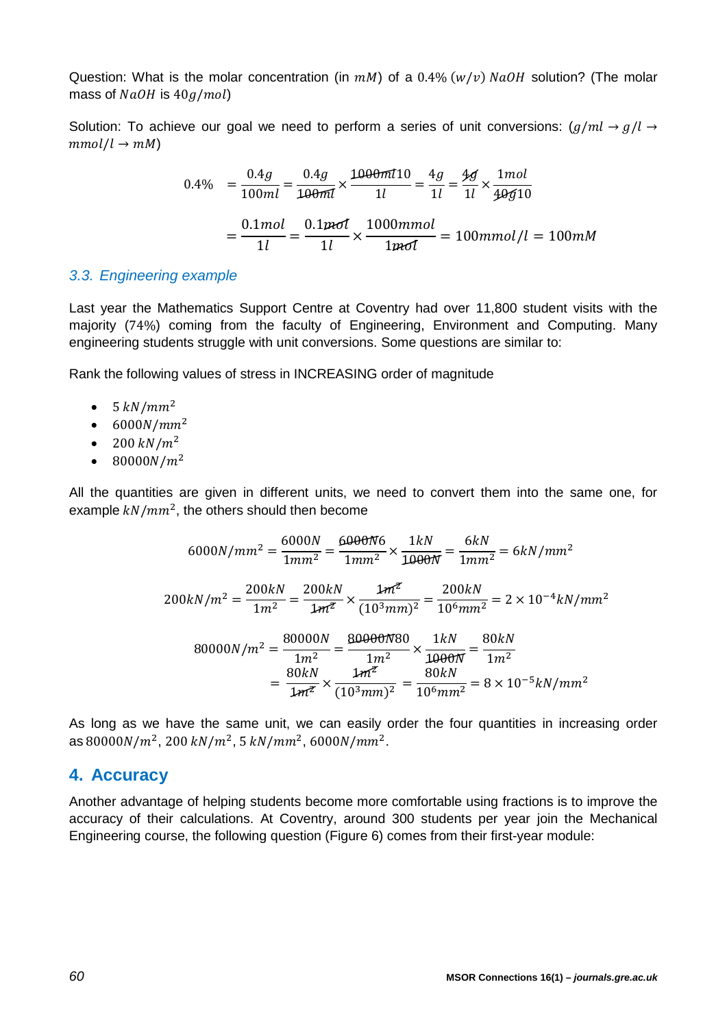Question: What is the molar concentration (in  $mM$ ) of a 0.4% ( $w/v$ )  $NaOH$  solution? (The molar mass of  $NaOH$  is  $40 g/mol$ )

Solution: To achieve our goal we need to perform a series of unit conversions:  $(g/ml \rightarrow g/l \rightarrow g/l)$  $mmol/l \rightarrow mM$ 

$$
0.4\% = \frac{0.4g}{100ml} = \frac{0.4g}{100ml} \times \frac{1000mI10}{1l} = \frac{4g}{1l} = \frac{4g}{1l} \times \frac{1mol}{40g10}
$$

$$
= \frac{0.1mol}{1l} = \frac{0.1mol}{1l} \times \frac{1000mmol}{1mol} = 100mmol/l = 100mM
$$

### *3.3. Engineering example*

Last year the Mathematics Support Centre at Coventry had over 11,800 student visits with the majority (74%) coming from the faculty of Engineering, Environment and Computing. Many engineering students struggle with unit conversions. Some questions are similar to:

Rank the following values of stress in INCREASING order of magnitude

- $\bullet$  5  $kN/mm^2$
- $6000N/mm^2$
- 200  $kN/m^2$
- 80000 $N/m^2$

All the quantities are given in different units, we need to convert them into the same one, for example  $kN/mm^2$ , the others should then become

$$
6000N/mm^2 = \frac{6000N}{1mm^2} = \frac{6000N6}{1mm^2} \times \frac{1kN}{1000N} = \frac{6kN}{1mm^2} = 6kN/mm^2
$$
  

$$
200kN/m^2 = \frac{200kN}{1m^2} = \frac{200kN}{1m^2} \times \frac{1m^2}{(10^3mm)^2} = \frac{200kN}{10^6mm^2} = 2 \times 10^{-4}kN/mm^2
$$
  

$$
80000N/m^2 = \frac{80000N}{1m^2} = \frac{80000N80}{1m^2} \times \frac{1kN}{1000N} = \frac{80kN}{1m^2}
$$
  

$$
= \frac{80kN}{1m^2} \times \frac{1m^2}{(10^3mm)^2} = \frac{80kN}{10^6mm^2} = 8 \times 10^{-5}kN/mm^2
$$

As long as we have the same unit, we can easily order the four quantities in increasing order as  $80000N/m^2$ , 200 kN/m<sup>2</sup>, 5 kN/mm<sup>2</sup>, 6000N/mm<sup>2</sup>.

## **4. Accuracy**

Another advantage of helping students become more comfortable using fractions is to improve the accuracy of their calculations. At Coventry, around 300 students per year join the Mechanical Engineering course, the following question (Figure 6) comes from their first-year module: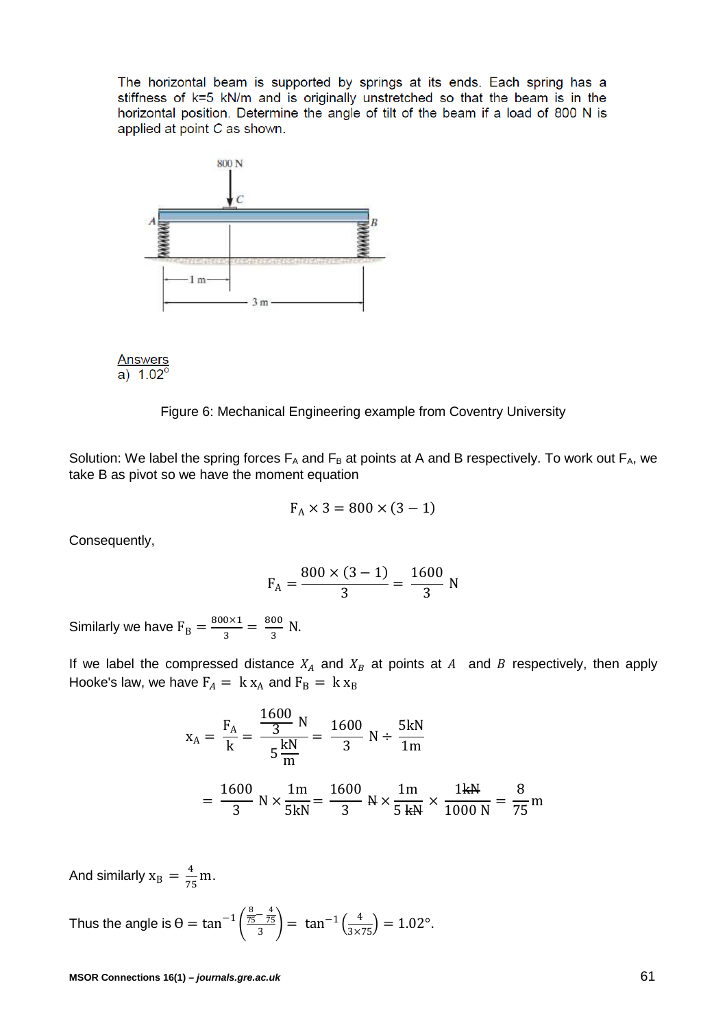The horizontal beam is supported by springs at its ends. Each spring has a stiffness of k=5 kN/m and is originally unstretched so that the beam is in the horizontal position. Determine the angle of tilt of the beam if a load of 800 N is applied at point C as shown.



 $\frac{\text{Answers}}{\text{a})}$  1.02<sup>0</sup>

Figure 6: Mechanical Engineering example from Coventry University

Solution: We label the spring forces  $F_A$  and  $F_B$  at points at A and B respectively. To work out  $F_A$ , we take B as pivot so we have the moment equation

$$
F_A \times 3 = 800 \times (3 - 1)
$$

Consequently,

$$
F_A = \frac{800 \times (3 - 1)}{3} = \frac{1600}{3} N
$$

Similarly we have  $F_B = \frac{800 \times 1}{3} = \frac{800}{3}$  N.

If we label the compressed distance  $X_A$  and  $X_B$  at points at  $A$  and  $B$  respectively, then apply Hooke's law, we have  $F_A = k x_A$  and  $F_B = k x_B$ 

$$
x_A = \frac{F_A}{k} = \frac{\frac{1600}{3} N}{5 \frac{kN}{m}} = \frac{1600}{3} N \div \frac{5kN}{1m}
$$

$$
= \frac{1600}{3} N \times \frac{1m}{5kN} = \frac{1600}{3} N \times \frac{1m}{5 kN} \times \frac{1kN}{1000 N} = \frac{8}{75} m
$$

And similarly  $x_B = \frac{4}{75}$  $\frac{1}{75}$ m.

Thus the angle is  $\theta = \tan^{-1} \left( \frac{\frac{8}{75} - \frac{4}{75}}{3} \right) = \tan^{-1} \left( \frac{4}{3 \times 75} \right) = 1.02^{\circ}.$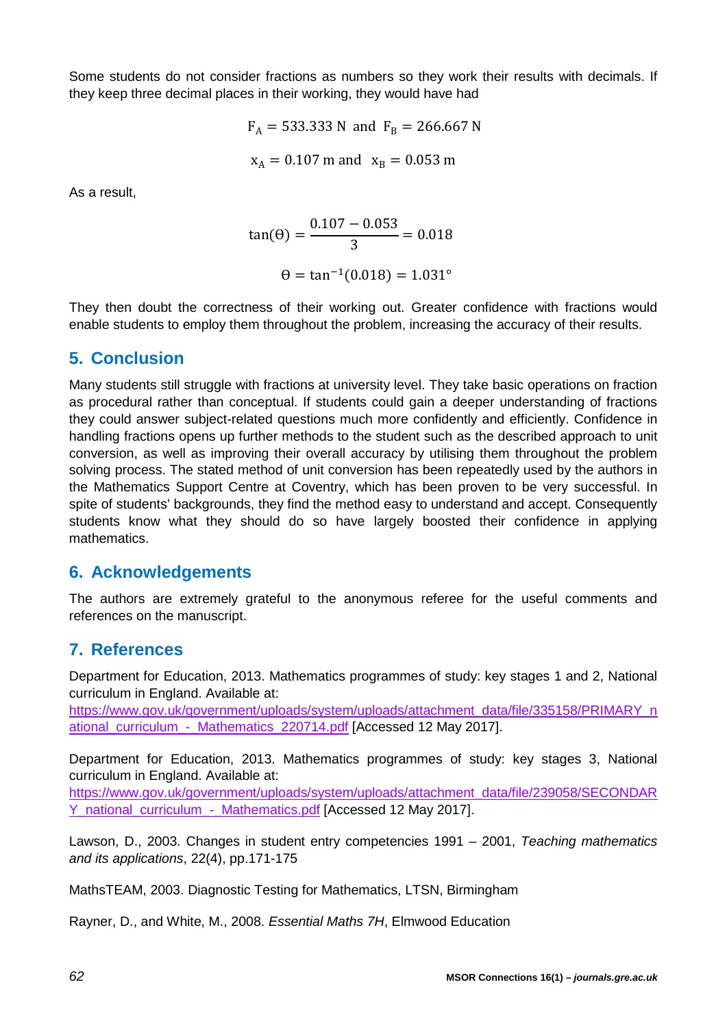Some students do not consider fractions as numbers so they work their results with decimals. If they keep three decimal places in their working, they would have had

$$
F_A = 533.333 N
$$
 and  $F_B = 266.667 N$   
 $x_A = 0.107$  m and  $x_B = 0.053$  m

As a result,

$$
\tan(\theta) = \frac{0.107 - 0.053}{3} = 0.018
$$

$$
\theta = \tan^{-1}(0.018) = 1.031^{\circ}
$$

They then doubt the correctness of their working out. Greater confidence with fractions would enable students to employ them throughout the problem, increasing the accuracy of their results.

# **5. Conclusion**

Many students still struggle with fractions at university level. They take basic operations on fraction as procedural rather than conceptual. If students could gain a deeper understanding of fractions they could answer subject-related questions much more confidently and efficiently. Confidence in handling fractions opens up further methods to the student such as the described approach to unit conversion, as well as improving their overall accuracy by utilising them throughout the problem solving process. The stated method of unit conversion has been repeatedly used by the authors in the Mathematics Support Centre at Coventry, which has been proven to be very successful. In spite of students' backgrounds, they find the method easy to understand and accept. Consequently students know what they should do so have largely boosted their confidence in applying mathematics.

# **6. Acknowledgements**

The authors are extremely grateful to the anonymous referee for the useful comments and references on the manuscript.

# **7. References**

Department for Education, 2013. Mathematics programmes of study: key stages 1 and 2, National curriculum in England. Available at:

[https://www.gov.uk/government/uploads/system/uploads/attachment\\_data/file/335158/PRIMARY\\_n](https://www.gov.uk/government/uploads/system/uploads/attachment_data/file/335158/PRIMARY_national_curriculum_-_Mathematics_220714.pdf) [ational\\_curriculum\\_-\\_Mathematics\\_220714.pdf](https://www.gov.uk/government/uploads/system/uploads/attachment_data/file/335158/PRIMARY_national_curriculum_-_Mathematics_220714.pdf) [Accessed 12 May 2017].

Department for Education, 2013. Mathematics programmes of study: key stages 3, National curriculum in England. Available at:

[https://www.gov.uk/government/uploads/system/uploads/attachment\\_data/file/239058/SECONDAR](https://www.gov.uk/government/uploads/system/uploads/attachment_data/file/239058/SECONDARY_national_curriculum_-_Mathematics.pdf) [Y\\_national\\_curriculum\\_-\\_Mathematics.pdf](https://www.gov.uk/government/uploads/system/uploads/attachment_data/file/239058/SECONDARY_national_curriculum_-_Mathematics.pdf) [Accessed 12 May 2017].

Lawson, D., 2003. Changes in student entry competencies 1991 – 2001, *Teaching mathematics and its applications*, 22(4), pp.171-175

MathsTEAM, 2003. Diagnostic Testing for Mathematics, LTSN, Birmingham

Rayner, D., and White, M., 2008. *Essential Maths 7H*, Elmwood Education